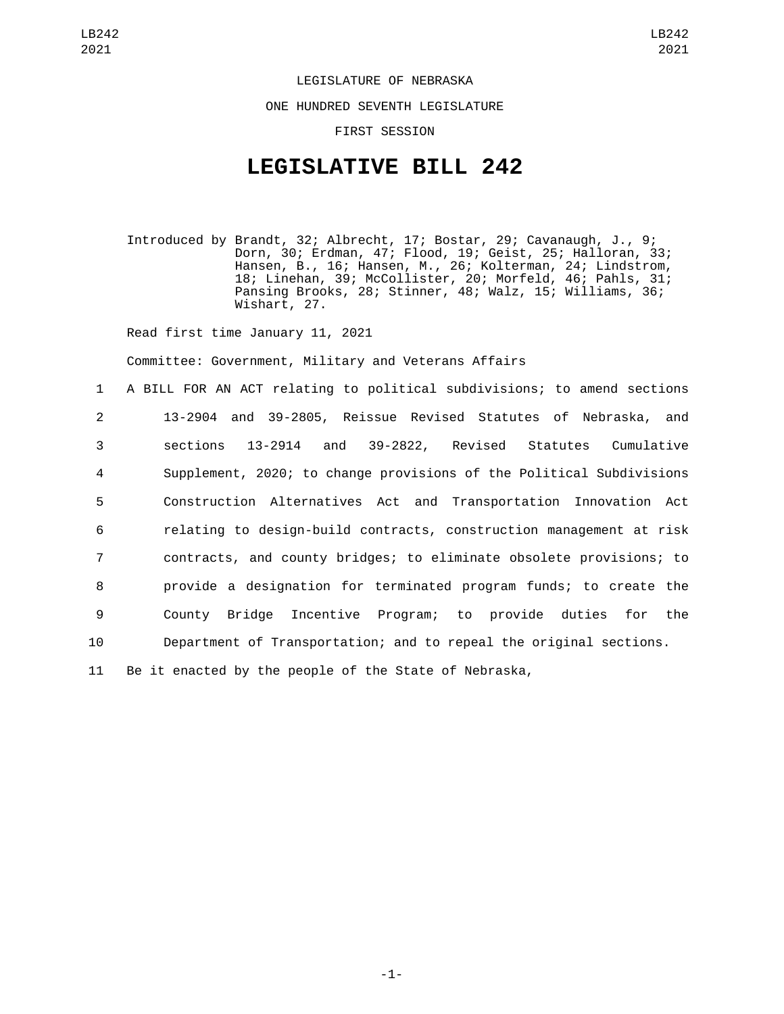LEGISLATURE OF NEBRASKA

ONE HUNDRED SEVENTH LEGISLATURE

FIRST SESSION

## **LEGISLATIVE BILL 242**

Introduced by Brandt, 32; Albrecht, 17; Bostar, 29; Cavanaugh, J., 9; Dorn, 30; Erdman, 47; Flood, 19; Geist, 25; Halloran, 33; Hansen, B., 16; Hansen, M., 26; Kolterman, 24; Lindstrom, 18; Linehan, 39; McCollister, 20; Morfeld, 46; Pahls, 31; Pansing Brooks, 28; Stinner, 48; Walz, 15; Williams, 36; Wishart, 27.

Read first time January 11, 2021

Committee: Government, Military and Veterans Affairs

 A BILL FOR AN ACT relating to political subdivisions; to amend sections 13-2904 and 39-2805, Reissue Revised Statutes of Nebraska, and sections 13-2914 and 39-2822, Revised Statutes Cumulative Supplement, 2020; to change provisions of the Political Subdivisions Construction Alternatives Act and Transportation Innovation Act relating to design-build contracts, construction management at risk contracts, and county bridges; to eliminate obsolete provisions; to provide a designation for terminated program funds; to create the County Bridge Incentive Program; to provide duties for the Department of Transportation; and to repeal the original sections.

11 Be it enacted by the people of the State of Nebraska,

-1-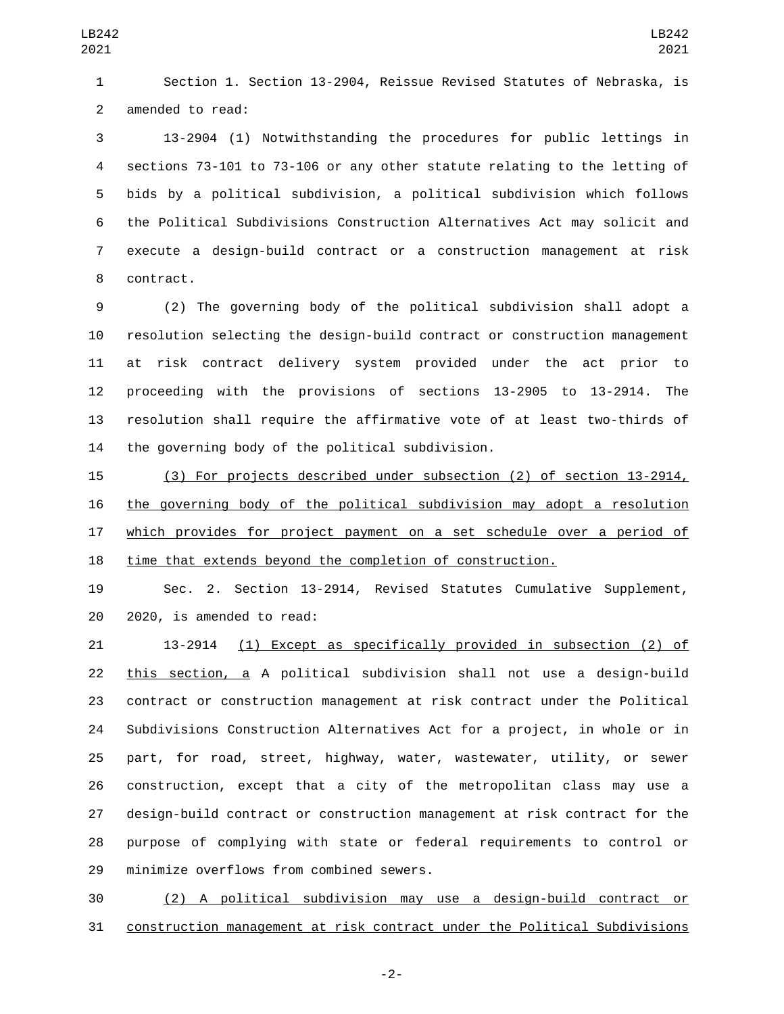Section 1. Section 13-2904, Reissue Revised Statutes of Nebraska, is 2 amended to read:

 13-2904 (1) Notwithstanding the procedures for public lettings in sections 73-101 to 73-106 or any other statute relating to the letting of bids by a political subdivision, a political subdivision which follows the Political Subdivisions Construction Alternatives Act may solicit and execute a design-build contract or a construction management at risk 8 contract.

 (2) The governing body of the political subdivision shall adopt a resolution selecting the design-build contract or construction management at risk contract delivery system provided under the act prior to proceeding with the provisions of sections 13-2905 to 13-2914. The resolution shall require the affirmative vote of at least two-thirds of 14 the governing body of the political subdivision.

 (3) For projects described under subsection (2) of section 13-2914, the governing body of the political subdivision may adopt a resolution which provides for project payment on a set schedule over a period of time that extends beyond the completion of construction.

 Sec. 2. Section 13-2914, Revised Statutes Cumulative Supplement, 20 2020, is amended to read:

 13-2914 (1) Except as specifically provided in subsection (2) of this section, a A political subdivision shall not use a design-build contract or construction management at risk contract under the Political Subdivisions Construction Alternatives Act for a project, in whole or in part, for road, street, highway, water, wastewater, utility, or sewer construction, except that a city of the metropolitan class may use a design-build contract or construction management at risk contract for the purpose of complying with state or federal requirements to control or 29 minimize overflows from combined sewers.

 (2) A political subdivision may use a design-build contract or construction management at risk contract under the Political Subdivisions

-2-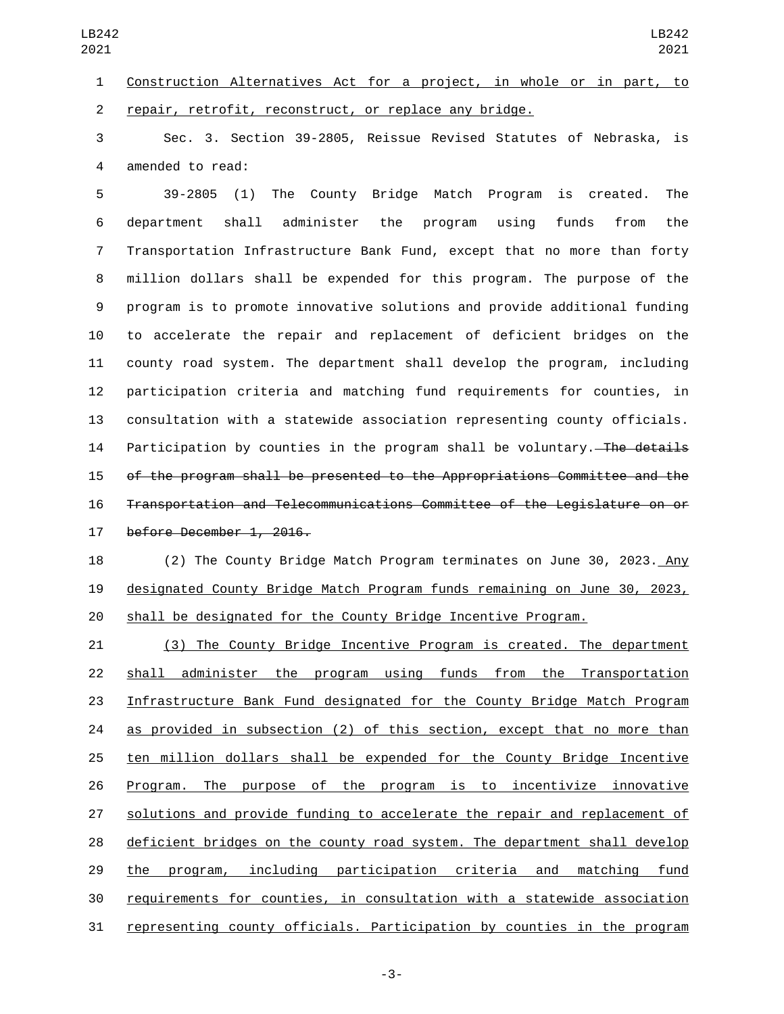Sec. 3. Section 39-2805, Reissue Revised Statutes of Nebraska, is 4 amended to read:

 39-2805 (1) The County Bridge Match Program is created. The department shall administer the program using funds from the Transportation Infrastructure Bank Fund, except that no more than forty million dollars shall be expended for this program. The purpose of the program is to promote innovative solutions and provide additional funding to accelerate the repair and replacement of deficient bridges on the county road system. The department shall develop the program, including participation criteria and matching fund requirements for counties, in consultation with a statewide association representing county officials. 14 Participation by counties in the program shall be voluntary. The details of the program shall be presented to the Appropriations Committee and the Transportation and Telecommunications Committee of the Legislature on or 17 before December 1, 2016.

 (2) The County Bridge Match Program terminates on June 30, 2023. Any designated County Bridge Match Program funds remaining on June 30, 2023, shall be designated for the County Bridge Incentive Program.

 (3) The County Bridge Incentive Program is created. The department shall administer the program using funds from the Transportation Infrastructure Bank Fund designated for the County Bridge Match Program as provided in subsection (2) of this section, except that no more than ten million dollars shall be expended for the County Bridge Incentive Program. The purpose of the program is to incentivize innovative solutions and provide funding to accelerate the repair and replacement of deficient bridges on the county road system. The department shall develop the program, including participation criteria and matching fund requirements for counties, in consultation with a statewide association representing county officials. Participation by counties in the program